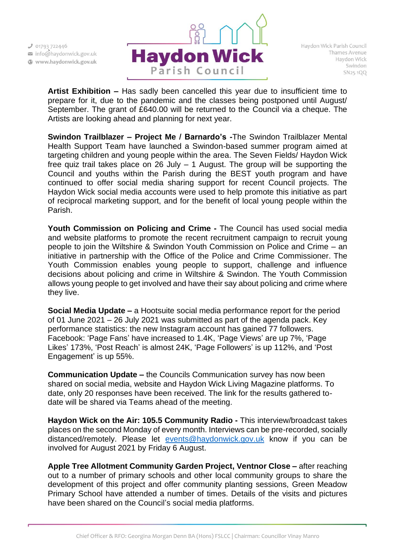

**Artist Exhibition –** Has sadly been cancelled this year due to insufficient time to prepare for it, due to the pandemic and the classes being postponed until August/ September. The grant of £640.00 will be returned to the Council via a cheque. The Artists are looking ahead and planning for next year.

**Swindon Trailblazer – Project Me / Barnardo's -**The Swindon Trailblazer Mental Health Support Team have launched a Swindon-based summer program aimed at targeting children and young people within the area. The Seven Fields/ Haydon Wick free quiz trail takes place on 26 July – 1 August. The group will be supporting the Council and youths within the Parish during the BEST youth program and have continued to offer social media sharing support for recent Council projects. The Haydon Wick social media accounts were used to help promote this initiative as part of reciprocal marketing support, and for the benefit of local young people within the Parish.

**Youth Commission on Policing and Crime -** The Council has used social media and website platforms to promote the recent recruitment campaign to recruit young people to join the Wiltshire & Swindon Youth Commission on Police and Crime – an initiative in partnership with the Office of the Police and Crime Commissioner. The Youth Commission enables young people to support, challenge and influence decisions about policing and crime in Wiltshire & Swindon. The Youth Commission allows young people to get involved and have their say about policing and crime where they live.

**Social Media Update –** a Hootsuite social media performance report for the period of 01 June 2021 – 26 July 2021 was submitted as part of the agenda pack. Key performance statistics: the new Instagram account has gained 77 followers. Facebook: 'Page Fans' have increased to 1.4K, 'Page Views' are up 7%, 'Page Likes' 173%, 'Post Reach' is almost 24K, 'Page Followers' is up 112%, and 'Post Engagement' is up 55%.

**Communication Update –** the Councils Communication survey has now been shared on social media, website and Haydon Wick Living Magazine platforms. To date, only 20 responses have been received. The link for the results gathered todate will be shared via Teams ahead of the meeting.

**Haydon Wick on the Air: 105.5 Community Radio -** This interview/broadcast takes places on the second Monday of every month. Interviews can be pre-recorded, socially distanced/remotely. Please let [events@haydonwick.gov.uk](mailto:events@haydonwick.gov.uk) know if you can be involved for August 2021 by Friday 6 August.

**Apple Tree Allotment Community Garden Project, Ventnor Close –** after reaching out to a number of primary schools and other local community groups to share the development of this project and offer community planting sessions, Green Meadow Primary School have attended a number of times. Details of the visits and pictures have been shared on the Council's social media platforms.